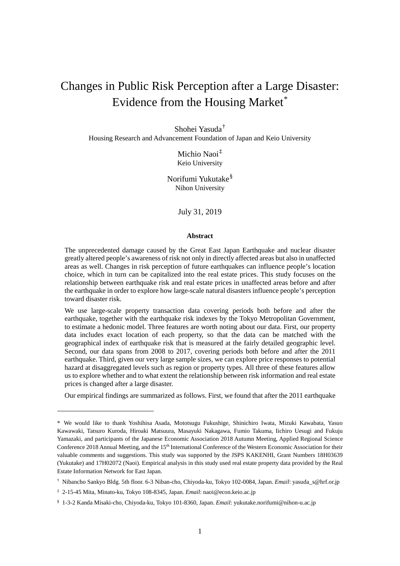# Changes in Public Risk Perception after a Large Disaster: Evidence from the Housing Market[\\*](#page-0-0)

Shohei Yasuda[†](#page-0-1)

Housing Research and Advancement Foundation of Japan and Keio University

Michio Naoi[‡](#page-0-2) Keio University

Norifumi Yukutake[§](#page-0-3) Nihon University

July 31, 2019

## **Abstract**

The unprecedented damage caused by the Great East Japan Earthquake and nuclear disaster greatly altered people's awareness of risk not only in directly affected areas but also in unaffected areas as well. Changes in risk perception of future earthquakes can influence people's location choice, which in turn can be capitalized into the real estate prices. This study focuses on the relationship between earthquake risk and real estate prices in unaffected areas before and after the earthquake in order to explore how large-scale natural disasters influence people's perception toward disaster risk.

We use large-scale property transaction data covering periods both before and after the earthquake, together with the earthquake risk indexes by the Tokyo Metropolitan Government, to estimate a hedonic model. Three features are worth noting about our data. First, our property data includes exact location of each property, so that the data can be matched with the geographical index of earthquake risk that is measured at the fairly detailed geographic level. Second, our data spans from 2008 to 2017, covering periods both before and after the 2011 earthquake. Third, given our very large sample sizes, we can explore price responses to potential hazard at disaggregated levels such as region or property types. All three of these features allow us to explore whether and to what extent the relationship between risk information and real estate prices is changed after a large disaster.

Our empirical findings are summarized as follows. First, we found that after the 2011 earthquake

-

<span id="page-0-0"></span><sup>\*</sup> We would like to thank Yoshihisa Asada, Mototsugu Fukushige, Shinichiro Iwata, Mizuki Kawabata, Yasuo Kawawaki, Tatsuro Kuroda, Hiroaki Matsuura, Masayuki Nakagawa, Fumio Takuma, Iichiro Uesugi and Fukuju Yamazaki, and participants of the Japanese Economic Association 2018 Autumn Meeting, Applied Regional Science Conference 2018 Annual Meeting, and the 15<sup>th</sup> International Conference of the Western Economic Association for their valuable comments and suggestions. This study was supported by the JSPS KAKENHI, Grant Numbers 18H03639 (Yukutake) and 17H02072 (Naoi). Empirical analysis in this study used real estate property data provided by the Real Estate Information Network for East Japan.

<span id="page-0-1"></span><sup>†</sup> Nibancho Sankyo Bldg. 5th floor. 6-3 Niban-cho, Chiyoda-ku, Tokyo 102-0084, Japan. *Email*: yasuda\_s@hrf.or.jp

<span id="page-0-2"></span><sup>‡</sup> 2-15-45 Mita, Minato-ku, Tokyo 108-8345, Japan. *Email*: naoi@econ.keio.ac.jp

<span id="page-0-3"></span><sup>§</sup> 1-3-2 Kanda Misaki-cho, Chiyoda-ku, Tokyo 101-8360, Japan. *Email*: yukutake.norifumi@nihon-u.ac.jp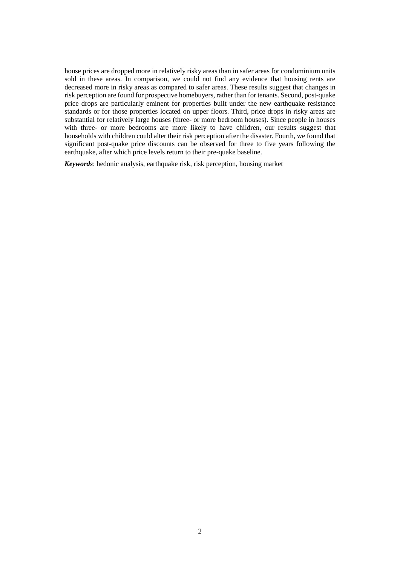house prices are dropped more in relatively risky areas than in safer areas for condominium units sold in these areas. In comparison, we could not find any evidence that housing rents are decreased more in risky areas as compared to safer areas. These results suggest that changes in risk perception are found for prospective homebuyers, rather than for tenants. Second, post-quake price drops are particularly eminent for properties built under the new earthquake resistance standards or for those properties located on upper floors. Third, price drops in risky areas are substantial for relatively large houses (three- or more bedroom houses). Since people in houses with three- or more bedrooms are more likely to have children, our results suggest that households with children could alter their risk perception after the disaster. Fourth, we found that significant post-quake price discounts can be observed for three to five years following the earthquake, after which price levels return to their pre-quake baseline.

*Keywords*: hedonic analysis, earthquake risk, risk perception, housing market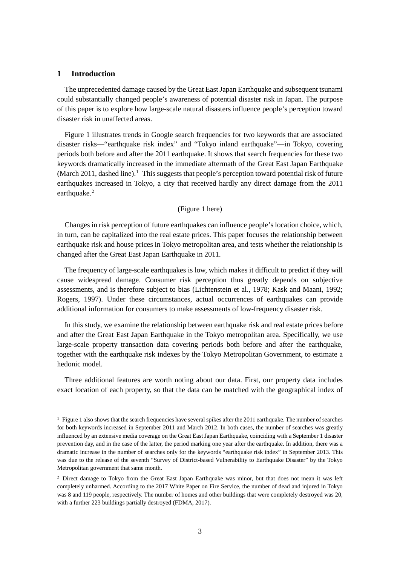## **1 Introduction**

-

The unprecedented damage caused by the Great East Japan Earthquake and subsequent tsunami could substantially changed people's awareness of potential disaster risk in Japan. The purpose of this paper is to explore how large-scale natural disasters influence people's perception toward disaster risk in unaffected areas.

[Figure 1](#page-16-0) illustrates trends in Google search frequencies for two keywords that are associated disaster risks—"earthquake risk index" and "Tokyo inland earthquake"—in Tokyo, covering periods both before and after the 2011 earthquake. It shows that search frequencies for these two keywords dramatically increased in the immediate aftermath of the Great East Japan Earthquake (March 20[1](#page-2-0)1, dashed line).<sup>1</sup> This suggests that people's perception toward potential risk of future earthquakes increased in Tokyo, a city that received hardly any direct damage from the 2011 earthquake. [2](#page-2-1)

## [\(Figure 1](#page-16-0) here)

Changes in risk perception of future earthquakes can influence people's location choice, which, in turn, can be capitalized into the real estate prices. This paper focuses the relationship between earthquake risk and house prices in Tokyo metropolitan area, and tests whether the relationship is changed after the Great East Japan Earthquake in 2011.

The frequency of large-scale earthquakes is low, which makes it difficult to predict if they will cause widespread damage. Consumer risk perception thus greatly depends on subjective assessments, and is therefore subject to bias (Lichtenstein et al., 1978; Kask and Maani, 1992; Rogers, 1997). Under these circumstances, actual occurrences of earthquakes can provide additional information for consumers to make assessments of low-frequency disaster risk.

In this study, we examine the relationship between earthquake risk and real estate prices before and after the Great East Japan Earthquake in the Tokyo metropolitan area. Specifically, we use large-scale property transaction data covering periods both before and after the earthquake, together with the earthquake risk indexes by the Tokyo Metropolitan Government, to estimate a hedonic model.

Three additional features are worth noting about our data. First, our property data includes exact location of each property, so that the data can be matched with the geographical index of

<span id="page-2-0"></span><sup>1</sup> [Figure 1](#page-16-0) also shows that the search frequencies have several spikes after the 2011 earthquake. The number of searches for both keywords increased in September 2011 and March 2012. In both cases, the number of searches was greatly influenced by an extensive media coverage on the Great East Japan Earthquake, coinciding with a September 1 disaster prevention day, and in the case of the latter, the period marking one year after the earthquake. In addition, there was a dramatic increase in the number of searches only for the keywords "earthquake risk index" in September 2013. This was due to the release of the seventh "Survey of District-based Vulnerability to Earthquake Disaster" by the Tokyo Metropolitan government that same month.

<span id="page-2-1"></span><sup>&</sup>lt;sup>2</sup> Direct damage to Tokyo from the Great East Japan Earthquake was minor, but that does not mean it was left completely unharmed. According to the 2017 White Paper on Fire Service, the number of dead and injured in Tokyo was 8 and 119 people, respectively. The number of homes and other buildings that were completely destroyed was 20, with a further 223 buildings partially destroyed (FDMA, 2017).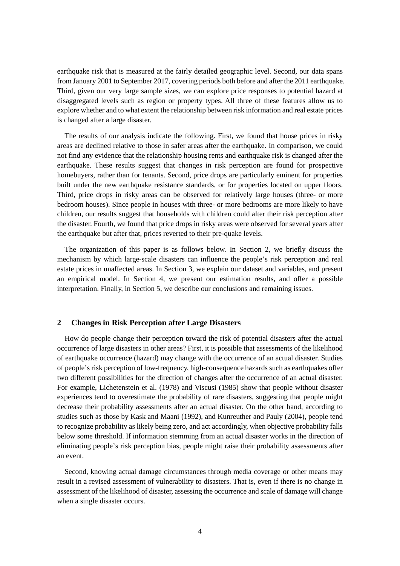earthquake risk that is measured at the fairly detailed geographic level. Second, our data spans from January 2001 to September 2017, covering periods both before and after the 2011 earthquake. Third, given our very large sample sizes, we can explore price responses to potential hazard at disaggregated levels such as region or property types. All three of these features allow us to explore whether and to what extent the relationship between risk information and real estate prices is changed after a large disaster.

The results of our analysis indicate the following. First, we found that house prices in risky areas are declined relative to those in safer areas after the earthquake. In comparison, we could not find any evidence that the relationship housing rents and earthquake risk is changed after the earthquake. These results suggest that changes in risk perception are found for prospective homebuyers, rather than for tenants. Second, price drops are particularly eminent for properties built under the new earthquake resistance standards, or for properties located on upper floors. Third, price drops in risky areas can be observed for relatively large houses (three- or more bedroom houses). Since people in houses with three- or more bedrooms are more likely to have children, our results suggest that households with children could alter their risk perception after the disaster. Fourth, we found that price drops in risky areas were observed for several years after the earthquake but after that, prices reverted to their pre-quake levels.

The organization of this paper is as follows below. In Section [2,](#page-3-0) we briefly discuss the mechanism by which large-scale disasters can influence the people's risk perception and real estate prices in unaffected areas. In Section [3,](#page-5-0) we explain our dataset and variables, and present an empirical model. In Section [4,](#page-8-0) we present our estimation results, and offer a possible interpretation. Finally, in Section [5,](#page-12-0) we describe our conclusions and remaining issues.

# <span id="page-3-0"></span>**2 Changes in Risk Perception after Large Disasters**

How do people change their perception toward the risk of potential disasters after the actual occurrence of large disasters in other areas? First, it is possible that assessments of the likelihood of earthquake occurrence (hazard) may change with the occurrence of an actual disaster. Studies of people's risk perception of low-frequency, high-consequence hazards such as earthquakes offer two different possibilities for the direction of changes after the occurrence of an actual disaster. For example, Lichetenstein et al. (1978) and Viscusi (1985) show that people without disaster experiences tend to overestimate the probability of rare disasters, suggesting that people might decrease their probability assessments after an actual disaster. On the other hand, according to studies such as those by Kask and Maani (1992), and Kunreuther and Pauly (2004), people tend to recognize probability as likely being zero, and act accordingly, when objective probability falls below some threshold. If information stemming from an actual disaster works in the direction of eliminating people's risk perception bias, people might raise their probability assessments after an event.

Second, knowing actual damage circumstances through media coverage or other means may result in a revised assessment of vulnerability to disasters. That is, even if there is no change in assessment of the likelihood of disaster, assessing the occurrence and scale of damage will change when a single disaster occurs.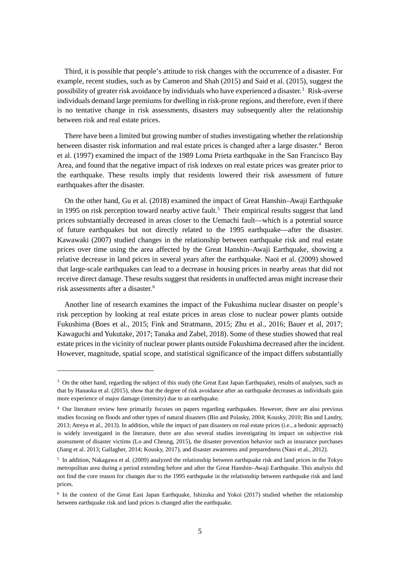Third, it is possible that people's attitude to risk changes with the occurrence of a disaster. For example, recent studies, such as by Cameron and Shah (2015) and Said et al. (2015), suggest the possibility of greater risk avoidance by individuals who have experienced a disaster. [3](#page-4-0) Risk-averse individuals demand large premiums for dwelling in risk-prone regions, and therefore, even if there is no tentative change in risk assessments, disasters may subsequently alter the relationship between risk and real estate prices.

There have been a limited but growing number of studies investigating whether the relationship between disaster risk information and real estate prices is changed after a large disaster. [4](#page-4-1) Beron et al. (1997) examined the impact of the 1989 Loma Prieta earthquake in the San Francisco Bay Area, and found that the negative impact of risk indexes on real estate prices was greater prior to the earthquake. These results imply that residents lowered their risk assessment of future earthquakes after the disaster.

On the other hand, Gu et al. (2018) examined the impact of Great Hanshin–Awaji Earthquake in 1995 on risk perception toward nearby active fault. [5](#page-4-2) Their empirical results suggest that land prices substantially decreased in areas closer to the Uemachi fault—which is a potential source of future earthquakes but not directly related to the 1995 earthquake—after the disaster. Kawawaki (2007) studied changes in the relationship between earthquake risk and real estate prices over time using the area affected by the Great Hanshin–Awaji Earthquake, showing a relative decrease in land prices in several years after the earthquake. Naoi et al. (2009) showed that large-scale earthquakes can lead to a decrease in housing prices in nearby areas that did not receive direct damage. These results suggest that residents in unaffected areas might increase their risk assessments after a disaster. [6](#page-4-3)

Another line of research examines the impact of the Fukushima nuclear disaster on people's risk perception by looking at real estate prices in areas close to nuclear power plants outside Fukushima (Boes et al., 2015; Fink and Stratmann, 2015; Zhu et al., 2016; Bauer et al, 2017; Kawaguchi and Yukutake, 2017; Tanaka and Zabel, 2018). Some of these studies showed that real estate prices in the vicinity of nuclear power plants outside Fukushima decreased after the incident. However, magnitude, spatial scope, and statistical significance of the impact differs substantially

-

<span id="page-4-0"></span><sup>&</sup>lt;sup>3</sup> On the other hand, regarding the subject of this study (the Great East Japan Earthquake), results of analyses, such as that by Hanaoka et al. (2015), show that the degree of risk avoidance after an earthquake decreases as individuals gain more experience of major damage (intensity) due to an earthquake.

<span id="page-4-1"></span><sup>4</sup> Our literature review here primarily focuses on papers regarding earthquakes. However, there are also previous studies focusing on floods and other types of natural disasters (Bin and Polasky, 2004; Kousky, 2010; Bin and Landry, 2013; Atreya et al., 2013). In addition, while the impact of past disasters on real estate prices (i.e., a hedonic approach) is widely investigated in the literature, there are also several studies investigating its impact on subjective risk assessment of disaster victims (Lo and Cheung, 2015), the disaster prevention behavior such as insurance purchases (Jiang et al. 2013; Gallagher, 2014; Kousky, 2017), and disaster awareness and preparedness (Naoi et al., 2012).

<span id="page-4-2"></span><sup>5</sup> In addition, Nakagawa et al. (2009) analyzed the relationship between earthquake risk and land prices in the Tokyo metropolitan area during a period extending before and after the Great Hanshin–Awaji Earthquake. This analysis did not find the core reason for changes due to the 1995 earthquake in the relationship between earthquake risk and land prices.

<span id="page-4-3"></span><sup>6</sup> In the context of the Great East Japan Earthquake, Ishizuka and Yokoi (2017) studied whether the relationship between earthquake risk and land prices is changed after the earthquake.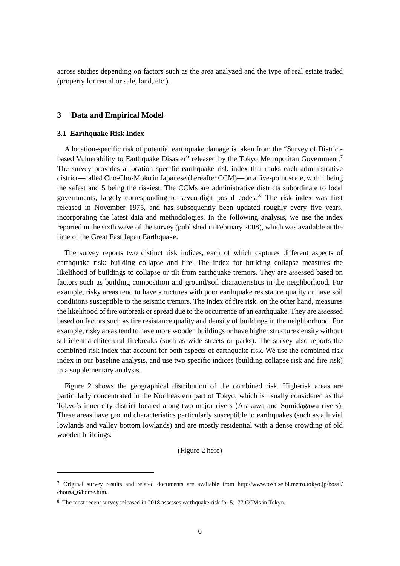across studies depending on factors such as the area analyzed and the type of real estate traded (property for rental or sale, land, etc.).

## <span id="page-5-0"></span>**3 Data and Empirical Model**

## <span id="page-5-3"></span>**3.1 Earthquake Risk Index**

-

A location-specific risk of potential earthquake damage is taken from the "Survey of District-based Vulnerability to Earthquake Disaster" released by the Tokyo Metropolitan Government.<sup>[7](#page-5-1)</sup> The survey provides a location specific earthquake risk index that ranks each administrative district—called Cho-Cho-Moku in Japanese (hereafter CCM)—on a five-point scale, with 1 being the safest and 5 being the riskiest. The CCMs are administrative districts subordinate to local governments, largely corresponding to seven-digit postal codes. [8](#page-5-2) The risk index was first released in November 1975, and has subsequently been updated roughly every five years, incorporating the latest data and methodologies. In the following analysis, we use the index reported in the sixth wave of the survey (published in February 2008), which was available at the time of the Great East Japan Earthquake.

The survey reports two distinct risk indices, each of which captures different aspects of earthquake risk: building collapse and fire. The index for building collapse measures the likelihood of buildings to collapse or tilt from earthquake tremors. They are assessed based on factors such as building composition and ground/soil characteristics in the neighborhood. For example, risky areas tend to have structures with poor earthquake resistance quality or have soil conditions susceptible to the seismic tremors. The index of fire risk, on the other hand, measures the likelihood of fire outbreak or spread due to the occurrence of an earthquake. They are assessed based on factors such as fire resistance quality and density of buildings in the neighborhood. For example, risky areas tend to have more wooden buildings or have higher structure density without sufficient architectural firebreaks (such as wide streets or parks). The survey also reports the combined risk index that account for both aspects of earthquake risk. We use the combined risk index in our baseline analysis, and use two specific indices (building collapse risk and fire risk) in a supplementary analysis.

[Figure 2](#page-17-0) shows the geographical distribution of the combined risk. High-risk areas are particularly concentrated in the Northeastern part of Tokyo, which is usually considered as the Tokyo's inner-city district located along two major rivers (Arakawa and Sumidagawa rivers). These areas have ground characteristics particularly susceptible to earthquakes (such as alluvial lowlands and valley bottom lowlands) and are mostly residential with a dense crowding of old wooden buildings.

## [\(Figure 2](#page-17-0) here)

<span id="page-5-1"></span><sup>7</sup> Original survey results and related documents are available from http://www.toshiseibi.metro.tokyo.jp/bosai/ chousa\_6/home.htm.

<span id="page-5-2"></span><sup>8</sup> The most recent survey released in 2018 assesses earthquake risk for 5,177 CCMs in Tokyo.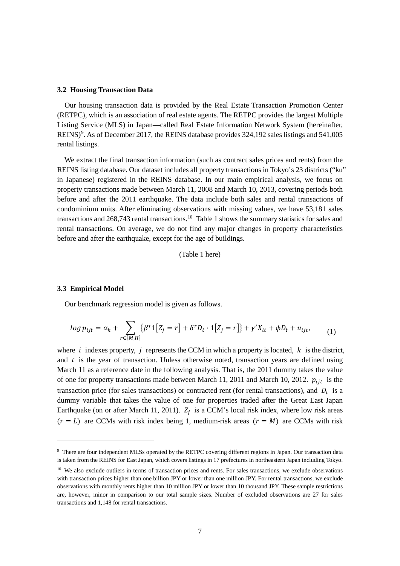#### **3.2 Housing Transaction Data**

Our housing transaction data is provided by the Real Estate Transaction Promotion Center (RETPC), which is an association of real estate agents. The RETPC provides the largest Multiple Listing Service (MLS) in Japan—called Real Estate Information Network System (hereinafter, REINS)<sup>[9](#page-6-0)</sup>. As of December 2017, the REINS database provides 324,192 sales listings and 541,005 rental listings.

We extract the final transaction information (such as contract sales prices and rents) from the REINS listing database. Our dataset includes all property transactions in Tokyo's 23 districts ("ku" in Japanese) registered in the REINS database. In our main empirical analysis, we focus on property transactions made between March 11, 2008 and March 10, 2013, covering periods both before and after the 2011 earthquake. The data include both sales and rental transactions of condominium units. After eliminating observations with missing values, we have 53,181 sales transactions and 268,743 rental transactions.<sup>10</sup> Tabl[e 1](#page-19-0) shows the summary statistics for sales and rental transactions. On average, we do not find any major changes in property characteristics before and after the earthquake, except for the age of buildings.

(Table 1 here)

#### **3.3 Empirical Model**

-

Our benchmark regression model is given as follows.

$$
\log p_{ijt} = \alpha_k + \sum_{r \in \{M, H\}} {\{\beta^r 1[Z_j = r] + \delta^r D_t \cdot 1[Z_j = r]\} + \gamma' X_{it} + \phi D_t + u_{ijt},
$$
\n(1)

where *i* indexes property, *i* represents the CCM in which a property is located,  $k$  is the district, and  $t$  is the year of transaction. Unless otherwise noted, transaction years are defined using March 11 as a reference date in the following analysis. That is, the 2011 dummy takes the value of one for property transactions made between March 11, 2011 and March 10, 2012.  $p_{iit}$  is the transaction price (for sales transactions) or contracted rent (for rental transactions), and  $D_t$  is a dummy variable that takes the value of one for properties traded after the Great East Japan Earthquake (on or after March 11, 2011).  $Z_i$  is a CCM's local risk index, where low risk areas  $(r = L)$  are CCMs with risk index being 1, medium-risk areas  $(r = M)$  are CCMs with risk

<span id="page-6-0"></span><sup>9</sup> There are four independent MLSs operated by the RETPC covering different regions in Japan. Our transaction data is taken from the REINS for East Japan, which covers listings in 17 prefectures in northeastern Japan including Tokyo.

<span id="page-6-1"></span><sup>&</sup>lt;sup>10</sup> We also exclude outliers in terms of transaction prices and rents. For sales transactions, we exclude observations with transaction prices higher than one billion JPY or lower than one million JPY. For rental transactions, we exclude observations with monthly rents higher than 10 million JPY or lower than 10 thousand JPY. These sample restrictions are, however, minor in comparison to our total sample sizes. Number of excluded observations are 27 for sales transactions and 1,148 for rental transactions.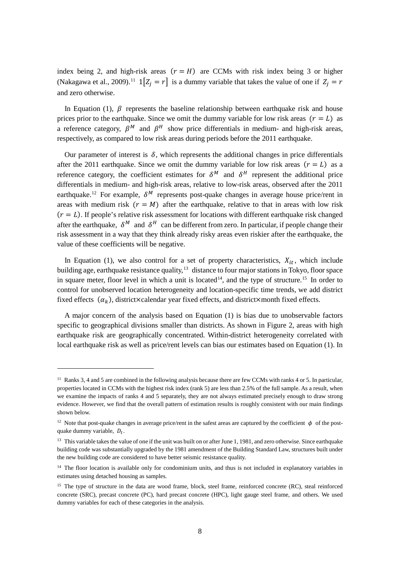index being 2, and high-risk areas  $(r = H)$  are CCMs with risk index being 3 or higher (Nakagawa et al., 2009).<sup>[11](#page-7-0)</sup>  $1[Z_i = r]$  is a dummy variable that takes the value of one if  $Z_i = r$ and zero otherwise.

In Equation (1),  $\beta$  represents the baseline relationship between earthquake risk and house prices prior to the earthquake. Since we omit the dummy variable for low risk areas  $(r = L)$  as a reference category,  $\beta^M$  and  $\beta^H$  show price differentials in medium- and high-risk areas, respectively, as compared to low risk areas during periods before the 2011 earthquake.

Our parameter of interest is  $\delta$ , which represents the additional changes in price differentials after the 2011 earthquake. Since we omit the dummy variable for low risk areas  $(r = L)$  as a reference category, the coefficient estimates for  $\delta^M$  and  $\delta^H$  represent the additional price differentials in medium- and high-risk areas, relative to low-risk areas, observed after the 2011 earthquake.<sup>12</sup> For example,  $\delta^M$  represents post-quake changes in average house price/rent in areas with medium risk  $(r = M)$  after the earthquake, relative to that in areas with low risk  $(r = L)$ . If people's relative risk assessment for locations with different earthquake risk changed after the earthquake,  $\delta^M$  and  $\delta^H$  can be different from zero. In particular, if people change their risk assessment in a way that they think already risky areas even riskier after the earthquake, the value of these coefficients will be negative.

In Equation (1), we also control for a set of property characteristics,  $X_{it}$ , which include building age, earthquake resistance quality,<sup>[13](#page-7-2)</sup> distance to four major stations in Tokyo, floor space in square meter, floor level in which a unit is located<sup>14</sup>, and the type of structure.<sup>[15](#page-7-4)</sup> In order to control for unobserved location heterogeneity and location-specific time trends, we add district fixed effects  $(\alpha_k)$ , district×calendar year fixed effects, and district×month fixed effects.

A major concern of the analysis based on Equation (1) is bias due to unobservable factors specific to geographical divisions smaller than districts. As shown in [Figure 2,](#page-17-0) areas with high earthquake risk are geographically concentrated. Within-district heterogeneity correlated with local earthquake risk as well as price/rent levels can bias our estimates based on Equation (1). In

<u>.</u>

<span id="page-7-0"></span><sup>&</sup>lt;sup>11</sup> Ranks 3, 4 and 5 are combined in the following analysis because there are few CCMs with ranks 4 or 5. In particular, properties located in CCMs with the highest risk index (rank 5) are less than 2.5% of the full sample. As a result, when we examine the impacts of ranks 4 and 5 separately, they are not always estimated precisely enough to draw strong evidence. However, we find that the overall pattern of estimation results is roughly consistent with our main findings shown below.

<span id="page-7-1"></span><sup>&</sup>lt;sup>12</sup> Note that post-quake changes in average price/rent in the safest areas are captured by the coefficient  $\phi$  of the postquake dummy variable,  $D_t$ .

<span id="page-7-2"></span> $13$  This variable takes the value of one if the unit was built on or after June 1, 1981, and zero otherwise. Since earthquake building code was substantially upgraded by the 1981 amendment of the Building Standard Law, structures built under the new building code are considered to have better seismic resistance quality.

<span id="page-7-3"></span> $14$  The floor location is available only for condominium units, and thus is not included in explanatory variables in estimates using detached housing as samples.

<span id="page-7-4"></span><sup>&</sup>lt;sup>15</sup> The type of structure in the data are wood frame, block, steel frame, reinforced concrete (RC), steal reinforced concrete (SRC), precast concrete (PC), hard precast concrete (HPC), light gauge steel frame, and others. We used dummy variables for each of these categories in the analysis.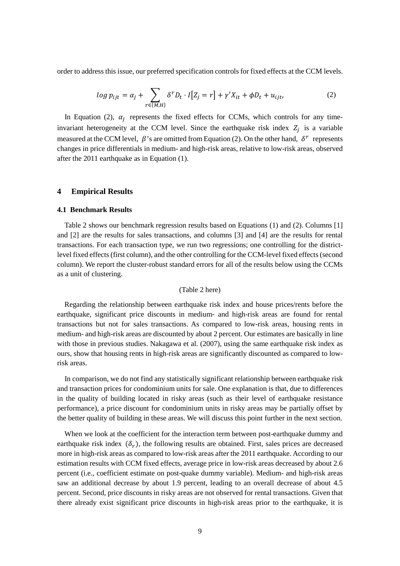order to address this issue, our preferred specification controls for fixed effects at the CCM levels.

$$
log p_{ijt} = \alpha_j + \sum_{r \in \{M, H\}} \delta^r D_t \cdot I[Z_j = r] + \gamma' X_{it} + \phi D_t + u_{ijt}, \qquad (2)
$$

In Equation (2),  $\alpha_i$  represents the fixed effects for CCMs, which controls for any timeinvariant heterogeneity at the CCM level. Since the earthquake risk index  $Z_i$  is a variable measured at the CCM level,  $\beta$ 's are omitted from Equation (2). On the other hand,  $\delta^r$  represents changes in price differentials in medium- and high-risk areas, relative to low-risk areas, observed after the 2011 earthquake as in Equation (1).

# <span id="page-8-0"></span>**4 Empirical Results**

# **4.1 Benchmark Results**

[Table 2](#page-20-0) shows our benchmark regression results based on Equations (1) and (2). Columns [1] and [2] are the results for sales transactions, and columns [3] and [4] are the results for rental transactions. For each transaction type, we run two regressions; one controlling for the districtlevel fixed effects (first column), and the other controlling for the CCM-level fixed effects (second column). We report the cluster-robust standard errors for all of the results below using the CCMs as a unit of clustering.

## [\(Table 2](#page-20-0) here)

Regarding the relationship between earthquake risk index and house prices/rents before the earthquake, significant price discounts in medium- and high-risk areas are found for rental transactions but not for sales transactions. As compared to low-risk areas, housing rents in medium- and high-risk areas are discounted by about 2 percent. Our estimates are basically in line with those in previous studies. Nakagawa et al. (2007), using the same earthquake risk index as ours, show that housing rents in high-risk areas are significantly discounted as compared to lowrisk areas.

In comparison, we do not find any statistically significant relationship between earthquake risk and transaction prices for condominium units for sale. One explanation is that, due to differences in the quality of building located in risky areas (such as their level of earthquake resistance performance), a price discount for condominium units in risky areas may be partially offset by the better quality of building in these areas. We will discuss this point further in the next section.

When we look at the coefficient for the interaction term between post-earthquake dummy and earthquake risk index  $(\delta_r)$ , the following results are obtained. First, sales prices are decreased more in high-risk areas as compared to low-risk areas after the 2011 earthquake. According to our estimation results with CCM fixed effects, average price in low-risk areas decreased by about 2.6 percent (i.e., coefficient estimate on post-quake dummy variable). Medium- and high-risk areas saw an additional decrease by about 1.9 percent, leading to an overall decrease of about 4.5 percent. Second, price discounts in risky areas are not observed for rental transactions. Given that there already exist significant price discounts in high-risk areas prior to the earthquake, it is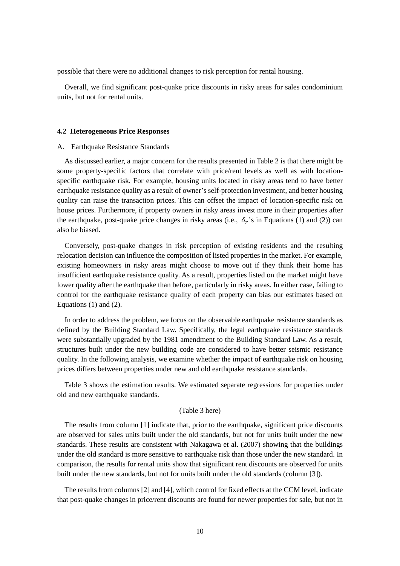possible that there were no additional changes to risk perception for rental housing.

Overall, we find significant post-quake price discounts in risky areas for sales condominium units, but not for rental units.

#### **4.2 Heterogeneous Price Responses**

#### A. Earthquake Resistance Standards

As discussed earlier, a major concern for the results presented in [Table 2](#page-20-0) is that there might be some property-specific factors that correlate with price/rent levels as well as with locationspecific earthquake risk. For example, housing units located in risky areas tend to have better earthquake resistance quality as a result of owner's self-protection investment, and better housing quality can raise the transaction prices. This can offset the impact of location-specific risk on house prices. Furthermore, if property owners in risky areas invest more in their properties after the earthquake, post-quake price changes in risky areas (i.e.,  $\delta_r$ 's in Equations (1) and (2)) can also be biased.

Conversely, post-quake changes in risk perception of existing residents and the resulting relocation decision can influence the composition of listed properties in the market. For example, existing homeowners in risky areas might choose to move out if they think their home has insufficient earthquake resistance quality. As a result, properties listed on the market might have lower quality after the earthquake than before, particularly in risky areas. In either case, failing to control for the earthquake resistance quality of each property can bias our estimates based on Equations (1) and (2).

In order to address the problem, we focus on the observable earthquake resistance standards as defined by the Building Standard Law. Specifically, the legal earthquake resistance standards were substantially upgraded by the 1981 amendment to the Building Standard Law. As a result, structures built under the new building code are considered to have better seismic resistance quality. In the following analysis, we examine whether the impact of earthquake risk on housing prices differs between properties under new and old earthquake resistance standards.

Table 3 shows the estimation results. We estimated separate regressions for properties under old and new earthquake standards.

#### (Table 3 here)

The results from column [1] indicate that, prior to the earthquake, significant price discounts are observed for sales units built under the old standards, but not for units built under the new standards. These results are consistent with Nakagawa et al. (2007) showing that the buildings under the old standard is more sensitive to earthquake risk than those under the new standard. In comparison, the results for rental units show that significant rent discounts are observed for units built under the new standards, but not for units built under the old standards (column [3]).

The results from columns [2] and [4], which control for fixed effects at the CCM level, indicate that post-quake changes in price/rent discounts are found for newer properties for sale, but not in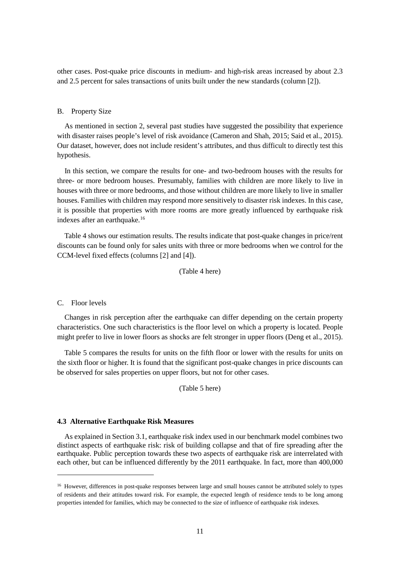other cases. Post-quake price discounts in medium- and high-risk areas increased by about 2.3 and 2.5 percent for sales transactions of units built under the new standards (column [2]).

## B. Property Size

As mentioned in section 2, several past studies have suggested the possibility that experience with disaster raises people's level of risk avoidance (Cameron and Shah, 2015; Said et al., 2015). Our dataset, however, does not include resident's attributes, and thus difficult to directly test this hypothesis.

In this section, we compare the results for one- and two-bedroom houses with the results for three- or more bedroom houses. Presumably, families with children are more likely to live in houses with three or more bedrooms, and those without children are more likely to live in smaller houses. Families with children may respond more sensitively to disaster risk indexes. In this case, it is possible that properties with more rooms are more greatly influenced by earthquake risk indexes after an earthquake. [16](#page-10-0)

Table 4 shows our estimation results. The results indicate that post-quake changes in price/rent discounts can be found only for sales units with three or more bedrooms when we control for the CCM-level fixed effects (columns [2] and [4]).

(Table 4 here)

C. Floor levels

-

Changes in risk perception after the earthquake can differ depending on the certain property characteristics. One such characteristics is the floor level on which a property is located. People might prefer to live in lower floors as shocks are felt stronger in upper floors (Deng et al., 2015).

Table 5 compares the results for units on the fifth floor or lower with the results for units on the sixth floor or higher. It is found that the significant post-quake changes in price discounts can be observed for sales properties on upper floors, but not for other cases.

(Table 5 here)

## **4.3 Alternative Earthquake Risk Measures**

As explained in Section [3.1,](#page-5-3) earthquake risk index used in our benchmark model combines two distinct aspects of earthquake risk: risk of building collapse and that of fire spreading after the earthquake. Public perception towards these two aspects of earthquake risk are interrelated with each other, but can be influenced differently by the 2011 earthquake. In fact, more than 400,000

<span id="page-10-0"></span><sup>&</sup>lt;sup>16</sup> However, differences in post-quake responses between large and small houses cannot be attributed solely to types of residents and their attitudes toward risk. For example, the expected length of residence tends to be long among properties intended for families, which may be connected to the size of influence of earthquake risk indexes.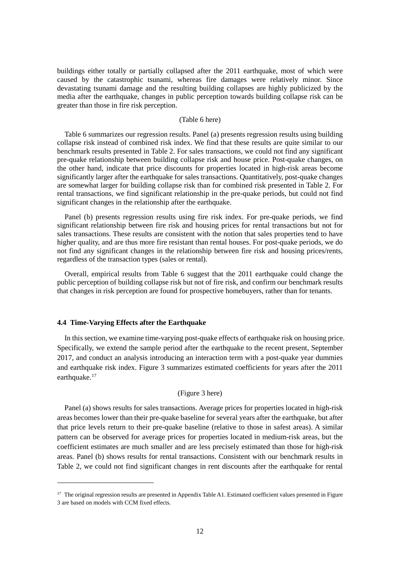buildings either totally or partially collapsed after the 2011 earthquake, most of which were caused by the catastrophic tsunami, whereas fire damages were relatively minor. Since devastating tsunami damage and the resulting building collapses are highly publicized by the media after the earthquake, changes in public perception towards building collapse risk can be greater than those in fire risk perception.

## (Table 6 here)

Table 6 summarizes our regression results. Panel (a) presents regression results using building collapse risk instead of combined risk index. We find that these results are quite similar to our benchmark results presented in Table 2. For sales transactions, we could not find any significant pre-quake relationship between building collapse risk and house price. Post-quake changes, on the other hand, indicate that price discounts for properties located in high-risk areas become significantly larger after the earthquake for sales transactions. Quantitatively, post-quake changes are somewhat larger for building collapse risk than for combined risk presented in Table 2. For rental transactions, we find significant relationship in the pre-quake periods, but could not find significant changes in the relationship after the earthquake.

Panel (b) presents regression results using fire risk index. For pre-quake periods, we find significant relationship between fire risk and housing prices for rental transactions but not for sales transactions. These results are consistent with the notion that sales properties tend to have higher quality, and are thus more fire resistant than rental houses. For post-quake periods, we do not find any significant changes in the relationship between fire risk and housing prices/rents, regardless of the transaction types (sales or rental).

Overall, empirical results from Table 6 suggest that the 2011 earthquake could change the public perception of building collapse risk but not of fire risk, and confirm our benchmark results that changes in risk perception are found for prospective homebuyers, rather than for tenants.

#### **4.4 Time-Varying Effects after the Earthquake**

-

In this section, we examine time-varying post-quake effects of earthquake risk on housing price. Specifically, we extend the sample period after the earthquake to the recent present, September 2017, and conduct an analysis introducing an interaction term with a post-quake year dummies and earthquake risk index. [Figure 3](#page-18-0) summarizes estimated coefficients for years after the 2011 earthquake.<sup>[17](#page-11-0)</sup>

# [\(Figure 3](#page-18-0) here)

Panel (a) shows results for sales transactions. Average prices for properties located in high-risk areas becomes lower than their pre-quake baseline for several years after the earthquake, but after that price levels return to their pre-quake baseline (relative to those in safest areas). A similar pattern can be observed for average prices for properties located in medium-risk areas, but the coefficient estimates are much smaller and are less precisely estimated than those for high-risk areas. Panel (b) shows results for rental transactions. Consistent with our benchmark results in Table 2, we could not find significant changes in rent discounts after the earthquake for rental

<span id="page-11-0"></span><sup>&</sup>lt;sup>17</sup> The original regression results are presented in Appendix Table A1. Estimated coefficient values presented in Figure [3](#page-18-0) are based on models with CCM fixed effects.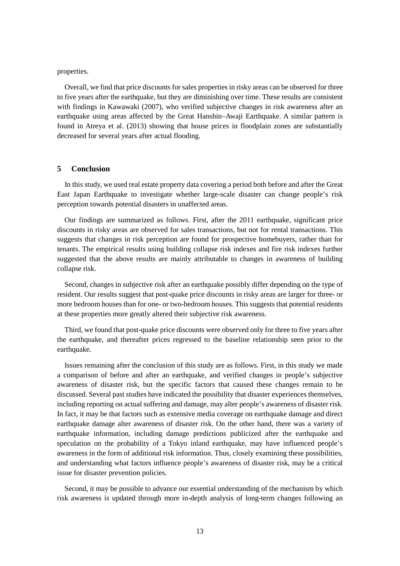properties.

Overall, we find that price discounts for sales properties in risky areas can be observed for three to five years after the earthquake, but they are diminishing over time. These results are consistent with findings in Kawawaki (2007), who verified subjective changes in risk awareness after an earthquake using areas affected by the Great Hanshin–Awaji Earthquake. A similar pattern is found in Atreya et al. (2013) showing that house prices in floodplain zones are substantially decreased for several years after actual flooding.

## <span id="page-12-0"></span>**5 Conclusion**

In this study, we used real estate property data covering a period both before and after the Great East Japan Earthquake to investigate whether large-scale disaster can change people's risk perception towards potential disasters in unaffected areas.

Our findings are summarized as follows. First, after the 2011 earthquake, significant price discounts in risky areas are observed for sales transactions, but not for rental transactions. This suggests that changes in risk perception are found for prospective homebuyers, rather than for tenants. The empirical results using building collapse risk indexes and fire risk indexes further suggested that the above results are mainly attributable to changes in awareness of building collapse risk.

Second, changes in subjective risk after an earthquake possibly differ depending on the type of resident. Our results suggest that post-quake price discounts in risky areas are larger for three- or more bedroom houses than for one- or two-bedroom houses. This suggests that potential residents at these properties more greatly altered their subjective risk awareness.

Third, we found that post-quake price discounts were observed only for three to five years after the earthquake, and thereafter prices regressed to the baseline relationship seen prior to the earthquake.

Issues remaining after the conclusion of this study are as follows. First, in this study we made a comparison of before and after an earthquake, and verified changes in people's subjective awareness of disaster risk, but the specific factors that caused these changes remain to be discussed. Several past studies have indicated the possibility that disaster experiences themselves, including reporting on actual suffering and damage, may alter people's awareness of disaster risk. In fact, it may be that factors such as extensive media coverage on earthquake damage and direct earthquake damage alter awareness of disaster risk. On the other hand, there was a variety of earthquake information, including damage predictions publicized after the earthquake and speculation on the probability of a Tokyo inland earthquake, may have influenced people's awareness in the form of additional risk information. Thus, closely examining these possibilities, and understanding what factors influence people's awareness of disaster risk, may be a critical issue for disaster prevention policies.

Second, it may be possible to advance our essential understanding of the mechanism by which risk awareness is updated through more in-depth analysis of long-term changes following an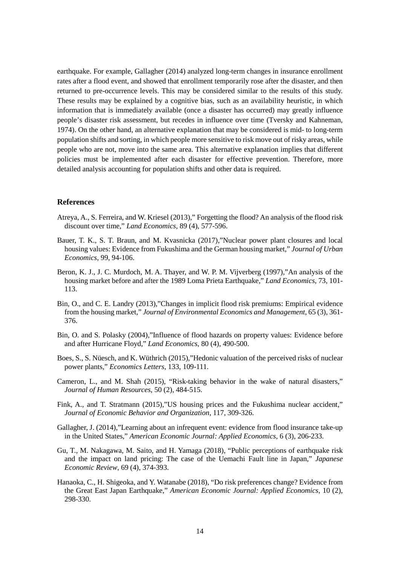earthquake. For example, Gallagher (2014) analyzed long-term changes in insurance enrollment rates after a flood event, and showed that enrollment temporarily rose after the disaster, and then returned to pre-occurrence levels. This may be considered similar to the results of this study. These results may be explained by a cognitive bias, such as an availability heuristic, in which information that is immediately available (once a disaster has occurred) may greatly influence people's disaster risk assessment, but recedes in influence over time (Tversky and Kahneman, 1974). On the other hand, an alternative explanation that may be considered is mid- to long-term population shifts and sorting, in which people more sensitive to risk move out of risky areas, while people who are not, move into the same area. This alternative explanation implies that different policies must be implemented after each disaster for effective prevention. Therefore, more detailed analysis accounting for population shifts and other data is required.

# **References**

- Atreya, A., S. Ferreira, and W. Kriesel (2013)," Forgetting the flood? An analysis of the flood risk discount over time," *Land Economics*, 89 (4), 577-596.
- Bauer, T. K., S. T. Braun, and M. Kvasnicka (2017),"Nuclear power plant closures and local housing values: Evidence from Fukushima and the German housing market," *Journal of Urban Economics*, 99, 94-106.
- Beron, K. J., J. C. Murdoch, M. A. Thayer, and W. P. M. Vijverberg (1997),"An analysis of the housing market before and after the 1989 Loma Prieta Earthquake," *Land Economics*, 73, 101- 113.
- Bin, O., and C. E. Landry (2013),"Changes in implicit flood risk premiums: Empirical evidence from the housing market," *Journal of Environmental Economics and Management*, 65 (3), 361- 376.
- Bin, O. and S. Polasky (2004),"Influence of flood hazards on property values: Evidence before and after Hurricane Floyd," *Land Economics*, 80 (4), 490-500.
- Boes, S., S. Nüesch, and K. Wüthrich (2015),"Hedonic valuation of the perceived risks of nuclear power plants," *Economics Letters*, 133, 109-111.
- Cameron, L., and M. Shah (2015), "Risk-taking behavior in the wake of natural disasters," *Journal of Human Resources*, 50 (2), 484-515.
- Fink, A., and T. Stratmann (2015),"US housing prices and the Fukushima nuclear accident," *Journal of Economic Behavior and Organization*, 117, 309-326.
- Gallagher, J. (2014),"Learning about an infrequent event: evidence from flood insurance take-up in the United States," *American Economic Journal: Applied Economics*, 6 (3), 206-233.
- Gu, T., M. Nakagawa, M. Saito, and H. Yamaga (2018), "Public perceptions of earthquake risk and the impact on land pricing: The case of the Uemachi Fault line in Japan," *Japanese Economic Review*, 69 (4), 374-393.
- Hanaoka, C., H. Shigeoka, and Y. Watanabe (2018), "Do risk preferences change? Evidence from the Great East Japan Earthquake," *American Economic Journal: Applied Economics*, 10 (2), 298-330.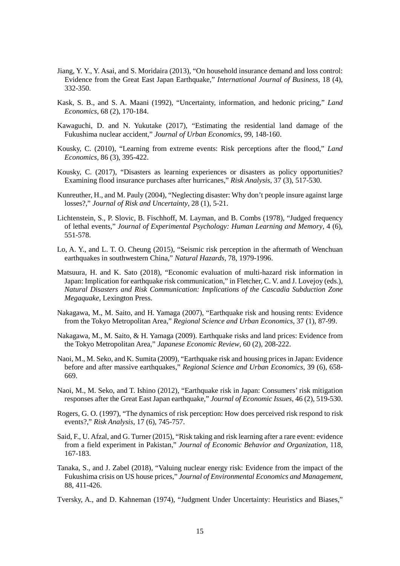- Jiang, Y. Y., Y. Asai, and S. Moridaira (2013), "On household insurance demand and loss control: Evidence from the Great East Japan Earthquake," *International Journal of Business*, 18 (4), 332-350.
- Kask, S. B., and S. A. Maani (1992), "Uncertainty, information, and hedonic pricing," *Land Economics*, 68 (2), 170-184.
- Kawaguchi, D. and N. Yukutake (2017), "Estimating the residential land damage of the Fukushima nuclear accident," *Journal of Urban Economics*, 99, 148-160.
- Kousky, C. (2010), "Learning from extreme events: Risk perceptions after the flood," *Land Economics*, 86 (3), 395-422.
- Kousky, C. (2017), "Disasters as learning experiences or disasters as policy opportunities? Examining flood insurance purchases after hurricanes," *Risk Analysis*, 37 (3), 517-530.
- Kunreuther, H., and M. Pauly (2004), "Neglecting disaster: Why don't people insure against large losses?," *Journal of Risk and Uncertainty*, 28 (1), 5-21.
- Lichtenstein, S., P. Slovic, B. Fischhoff, M. Layman, and B. Combs (1978), "Judged frequency of lethal events," *Journal of Experimental Psychology: Human Learning and Memory*, 4 (6), 551-578.
- Lo, A. Y., and L. T. O. Cheung (2015), "Seismic risk perception in the aftermath of Wenchuan earthquakes in southwestern China," *Natural Hazards*, 78, 1979-1996.
- Matsuura, H. and K. Sato (2018), "Economic evaluation of multi-hazard risk information in Japan: Implication for earthquake risk communication," in Fletcher, C. V. and J. Lovejoy (eds.), *Natural Disasters and Risk Communication: Implications of the Cascadia Subduction Zone Megaquake*, Lexington Press.
- Nakagawa, M., M. Saito, and H. Yamaga (2007), "Earthquake risk and housing rents: Evidence from the Tokyo Metropolitan Area," *Regional Science and Urban Economics*, 37 (1), 87-99.
- Nakagawa, M., M. Saito, & H. Yamaga (2009). Earthquake risks and land prices: Evidence from the Tokyo Metropolitan Area," *Japanese Economic Review*, 60 (2), 208-222.
- Naoi, M., M. Seko, and K. Sumita (2009), "Earthquake risk and housing prices in Japan: Evidence before and after massive earthquakes," *Regional Science and Urban Economics*, 39 (6), 658- 669.
- Naoi, M., M. Seko, and T. Ishino (2012), "Earthquake risk in Japan: Consumers' risk mitigation responses after the Great East Japan earthquake," *Journal of Economic Issues*, 46 (2), 519-530.
- Rogers, G. O. (1997), "The dynamics of risk perception: How does perceived risk respond to risk events?," *Risk Analysis*, 17 (6), 745-757.
- Said, F., U. Afzal, and G. Turner (2015), "Risk taking and risk learning after a rare event: evidence from a field experiment in Pakistan," *Journal of Economic Behavior and Organization*, 118, 167-183.
- Tanaka, S., and J. Zabel (2018), "Valuing nuclear energy risk: Evidence from the impact of the Fukushima crisis on US house prices," *Journal of Environmental Economics and Management*, 88, 411-426.
- Tversky, A., and D. Kahneman (1974), "Judgment Under Uncertainty: Heuristics and Biases,"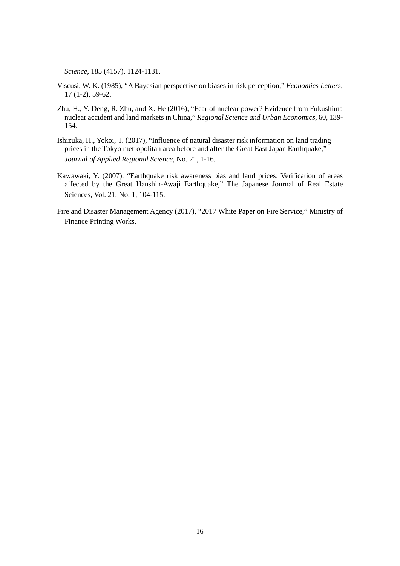*Science*, 185 (4157), 1124-1131.

- Viscusi, W. K. (1985), "A Bayesian perspective on biases in risk perception," *Economics Letters*, 17 (1-2), 59-62.
- Zhu, H., Y. Deng, R. Zhu, and X. He (2016), "Fear of nuclear power? Evidence from Fukushima nuclear accident and land markets in China," *Regional Science and Urban Economics*, 60, 139- 154.
- Ishizuka, H., Yokoi, T. (2017), "Influence of natural disaster risk information on land trading prices in the Tokyo metropolitan area before and after the Great East Japan Earthquake," *Journal of Applied Regional Science*, No. 21, 1-16.
- Kawawaki, Y. (2007), "Earthquake risk awareness bias and land prices: Verification of areas affected by the Great Hanshin-Awaji Earthquake," The Japanese Journal of Real Estate Sciences, Vol. 21, No. 1, 104-115.
- Fire and Disaster Management Agency (2017), "2017 White Paper on Fire Service," Ministry of Finance Printing Works.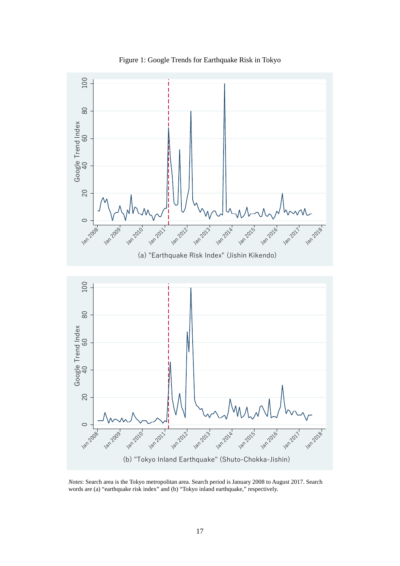<span id="page-16-0"></span>

Figure 1: Google Trends for Earthquake Risk in Tokyo

*Notes*: Search area is the Tokyo metropolitan area. Search period is January 2008 to August 2017. Search words are (a) "earthquake risk index" and (b) "Tokyo inland earthquake," respectively.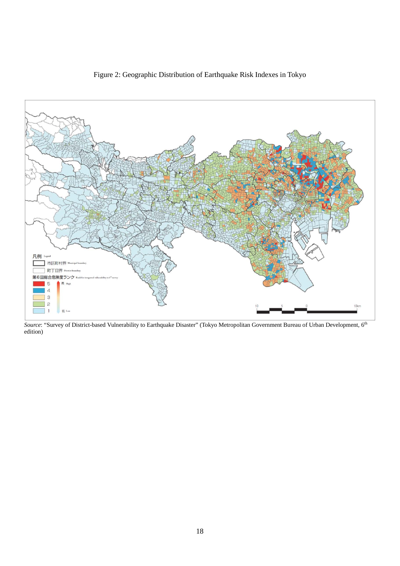<span id="page-17-0"></span>

Figure 2: Geographic Distribution of Earthquake Risk Indexes in Tokyo

*Source*: "Survey of District-based Vulnerability to Earthquake Disaster" (Tokyo Metropolitan Government Bureau of Urban Development, 6<sup>th</sup> edition)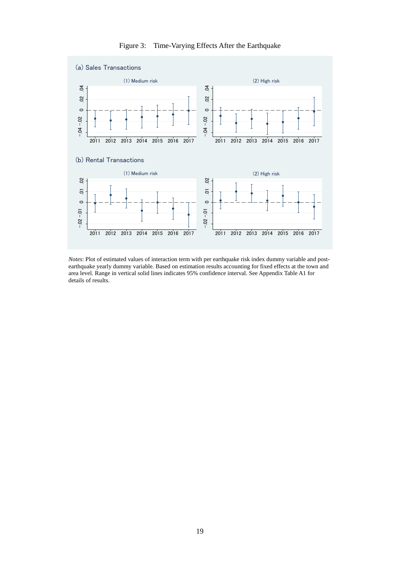<span id="page-18-0"></span>

Figure 3: Time-Varying Effects After the Earthquake

*Notes*: Plot of estimated values of interaction term with per earthquake risk index dummy variable and postearthquake yearly dummy variable. Based on estimation results accounting for fixed effects at the town and area level. Range in vertical solid lines indicates 95% confidence interval. See Appendix Table A1 for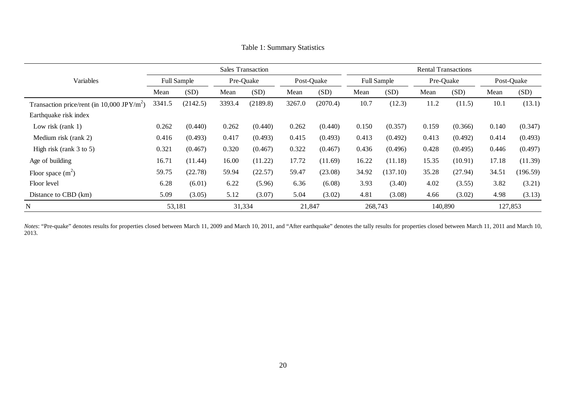|                                                        | <b>Sales Transaction</b> |          |        |           |        | <b>Rental Transactions</b> |         |                    |         |           |       |            |  |
|--------------------------------------------------------|--------------------------|----------|--------|-----------|--------|----------------------------|---------|--------------------|---------|-----------|-------|------------|--|
| Variables                                              | <b>Full Sample</b>       |          |        | Pre-Quake |        | Post-Quake                 |         | <b>Full Sample</b> |         | Pre-Quake |       | Post-Quake |  |
|                                                        | Mean                     | (SD)     | Mean   | (SD)      | Mean   | (SD)                       | Mean    | (SD)               | Mean    | (SD)      | Mean  | (SD)       |  |
| Transaction price/rent (in 10,000 JPY/m <sup>2</sup> ) | 3341.5                   | (2142.5) | 3393.4 | (2189.8)  | 3267.0 | (2070.4)                   | 10.7    | (12.3)             | 11.2    | (11.5)    | 10.1  | (13.1)     |  |
| Earthquake risk index                                  |                          |          |        |           |        |                            |         |                    |         |           |       |            |  |
| Low risk $(rank 1)$                                    | 0.262                    | (0.440)  | 0.262  | (0.440)   | 0.262  | (0.440)                    | 0.150   | (0.357)            | 0.159   | (0.366)   | 0.140 | (0.347)    |  |
| Medium risk (rank 2)                                   | 0.416                    | (0.493)  | 0.417  | (0.493)   | 0.415  | (0.493)                    | 0.413   | (0.492)            | 0.413   | (0.492)   | 0.414 | (0.493)    |  |
| High risk (rank $3$ to $5$ )                           | 0.321                    | (0.467)  | 0.320  | (0.467)   | 0.322  | (0.467)                    | 0.436   | (0.496)            | 0.428   | (0.495)   | 0.446 | (0.497)    |  |
| Age of building                                        | 16.71                    | (11.44)  | 16.00  | (11.22)   | 17.72  | (11.69)                    | 16.22   | (11.18)            | 15.35   | (10.91)   | 17.18 | (11.39)    |  |
| Floor space $(m^2)$                                    | 59.75                    | (22.78)  | 59.94  | (22.57)   | 59.47  | (23.08)                    | 34.92   | (137.10)           | 35.28   | (27.94)   | 34.51 | (196.59)   |  |
| Floor level                                            | 6.28                     | (6.01)   | 6.22   | (5.96)    | 6.36   | (6.08)                     | 3.93    | (3.40)             | 4.02    | (3.55)    | 3.82  | (3.21)     |  |
| Distance to CBD (km)                                   | 5.09                     | (3.05)   | 5.12   | (3.07)    | 5.04   | (3.02)                     | 4.81    | (3.08)             | 4.66    | (3.02)    | 4.98  | (3.13)     |  |
| N                                                      |                          | 53,181   | 31,334 |           | 21,847 |                            | 268,743 |                    | 140,890 |           |       | 127,853    |  |

Table 1: Summary Statistics

<span id="page-19-0"></span>Notes: "Pre-quake" denotes results for properties closed between March 11, 2009 and March 10, 2011, and "After earthquake" denotes the tally results for properties closed between March 11, 2011 and March 10, 2013.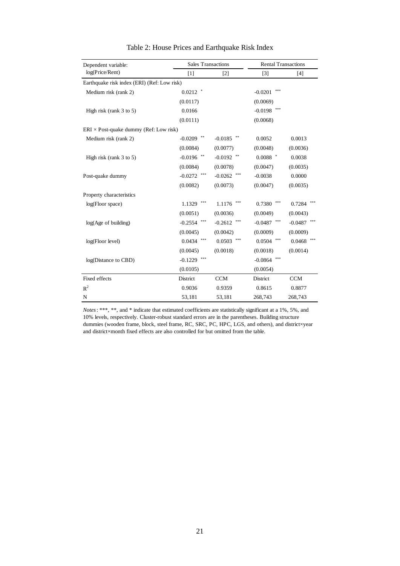<span id="page-20-0"></span>

| Dependent variable:                           | <b>Sales Transactions</b> |                   | <b>Rental Transactions</b> |            |  |
|-----------------------------------------------|---------------------------|-------------------|----------------------------|------------|--|
| log(Price/Rent)                               | $[1]$                     | $[2]$             | $\lceil 3 \rceil$          | $[4]$      |  |
| Earthquake risk index (ERI) (Ref: Low risk)   |                           |                   |                            |            |  |
| Medium risk (rank 2)                          | $0.0212$ *                |                   | ***<br>$-0.0201$           |            |  |
|                                               | (0.0117)                  |                   | (0.0069)                   |            |  |
| High risk (rank $3$ to $5$ )                  | 0.0166                    |                   | $-0.0198$                  |            |  |
|                                               | (0.0111)                  |                   | (0.0068)                   |            |  |
| $ERI \times Post-quake dummy (Ref: Low risk)$ |                           |                   |                            |            |  |
| Medium risk (rank 2)                          | **<br>$-0.0209$           | $-0.0185$         | 0.0052                     | 0.0013     |  |
|                                               | (0.0084)                  | (0.0077)          | (0.0048)                   | (0.0036)   |  |
| High risk (rank 3 to 5)                       | **<br>$-0.0196$           | $-0.0192$         | $0.0088$ *                 | 0.0038     |  |
|                                               | (0.0084)                  | (0.0078)          | (0.0047)                   | (0.0035)   |  |
| Post-quake dummy                              | ***<br>$-0.0272$          | ***<br>$-0.0262$  | $-0.0038$                  | 0.0000     |  |
|                                               | (0.0082)                  | (0.0073)          | (0.0047)                   | (0.0035)   |  |
| Property characteristics                      |                           |                   |                            |            |  |
| log(Floor space)                              | 1.1329                    | 1.1176            | 0.7380                     | 0.7284     |  |
|                                               | (0.0051)                  | (0.0036)          | (0.0049)                   | (0.0043)   |  |
| log(Age of building)                          | ***<br>$-0.2554$          | ***<br>$-0.2612$  | ***<br>$-0.0487$           | $-0.0487$  |  |
|                                               | (0.0045)                  | (0.0042)          | (0.0009)                   | (0.0009)   |  |
| log(Floor level)                              | ***<br>0.0434             | $* * *$<br>0.0503 | ***<br>0.0504              | 0.0468     |  |
|                                               | (0.0045)                  | (0.0018)          | (0.0018)                   | (0.0014)   |  |
| log(Distance to CBD)                          | ***<br>$-0.1229$          |                   | ***<br>$-0.0864$           |            |  |
|                                               | (0.0105)                  |                   | (0.0054)                   |            |  |
| Fixed effects                                 | District                  | <b>CCM</b>        | District                   | <b>CCM</b> |  |
| $R^2$                                         | 0.9036                    | 0.9359            | 0.8615                     | 0.8877     |  |
| N                                             | 53,181                    | 53,181            | 268,743                    | 268,743    |  |

*Notes*: \*\*\*, \*\*, and \* indicate that estimated coefficients are statistically significant at a 1%, 5%, and 10% levels, respectively. Cluster-robust standard errors are in the parentheses. Building structure dummies (wooden frame, block, steel frame, RC, SRC, PC, HPC, LGS, and others), and district×year and district×month fixed effects are also controlled for but omitted from the table.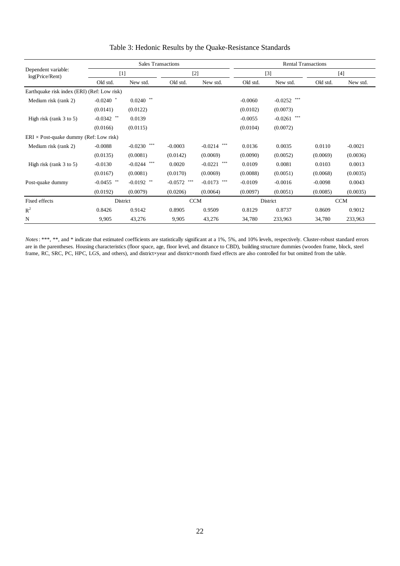|                                               |              | <b>Sales Transactions</b> |                  |                  | <b>Rental Transactions</b> |                  |            |           |  |
|-----------------------------------------------|--------------|---------------------------|------------------|------------------|----------------------------|------------------|------------|-----------|--|
| Dependent variable:<br>log(Price/Rent)        |              | $[1]$                     |                  | $[2]$            | $[3]$                      |                  | $[4]$      |           |  |
|                                               | Old std.     | New std.                  | Old std.         | New std.         | Old std.                   | New std.         | Old std.   | New std.  |  |
| Earthquake risk index (ERI) (Ref: Low risk)   |              |                           |                  |                  |                            |                  |            |           |  |
| Medium risk (rank 2)                          | $-0.0240$ *  | $0.0240$ **               |                  |                  | $-0.0060$                  | ***<br>$-0.0252$ |            |           |  |
|                                               | (0.0141)     | (0.0122)                  |                  |                  | (0.0102)                   | (0.0073)         |            |           |  |
| High risk (rank $3$ to $5$ )                  | $-0.0342$ ** | 0.0139                    |                  |                  | $-0.0055$                  | ***<br>$-0.0261$ |            |           |  |
|                                               | (0.0166)     | (0.0115)                  |                  |                  | (0.0104)                   | (0.0072)         |            |           |  |
| $ERI \times Post-quake dummy (Ref: Low risk)$ |              |                           |                  |                  |                            |                  |            |           |  |
| Medium risk (rank 2)                          | $-0.0088$    | ***<br>$-0.0230$          | $-0.0003$        | $-0.0214$ ***    | 0.0136                     | 0.0035           | 0.0110     | $-0.0021$ |  |
|                                               | (0.0135)     | (0.0081)                  | (0.0142)         | (0.0069)         | (0.0090)                   | (0.0052)         | (0.0069)   | (0.0036)  |  |
| High risk (rank $3$ to $5$ )                  | $-0.0130$    | ***<br>$-0.0244$          | 0.0020           | ***<br>$-0.0221$ | 0.0109                     | 0.0081           | 0.0103     | 0.0013    |  |
|                                               | (0.0167)     | (0.0081)                  | (0.0170)         | (0.0069)         | (0.0088)                   | (0.0051)         | (0.0068)   | (0.0035)  |  |
| Post-quake dummy                              | $-0.0455$ ** | $-0.0192$ **              | ***<br>$-0.0572$ | $-0.0173$ ***    | $-0.0109$                  | $-0.0016$        | $-0.0098$  | 0.0043    |  |
|                                               | (0.0192)     | (0.0079)                  | (0.0206)         | (0.0064)         | (0.0097)                   | (0.0051)         | (0.0085)   | (0.0035)  |  |
| Fixed effects                                 |              | District                  | <b>CCM</b>       |                  | District                   |                  | <b>CCM</b> |           |  |
| $R^2$                                         | 0.8426       | 0.9142                    | 0.8905           | 0.9509           | 0.8129                     | 0.8737           | 0.8609     | 0.9012    |  |
| N                                             | 9,905        | 43,276                    | 9,905            | 43,276           | 34,780                     | 233,963          | 34,780     | 233,963   |  |

# Table 3: Hedonic Results by the Quake-Resistance Standards

*Notes*: \*\*\*, \*\*, and \* indicate that estimated coefficients are statistically significant at a 1%, 5%, and 10% levels, respectively. Cluster-robust standard errors are in the parentheses. Housing characteristics (floor space, age, floor level, and distance to CBD), building structure dummies (wooden frame, block, steel frame, RC, SRC, PC, HPC, LGS, and others), and district×year and district×month fixed effects are also controlled for but omitted from the table.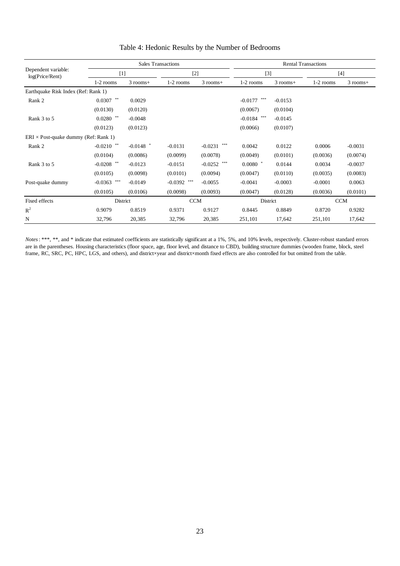|                                             |                                      |             | <b>Sales Transactions</b> |               | <b>Rental Transactions</b> |            |             |            |  |
|---------------------------------------------|--------------------------------------|-------------|---------------------------|---------------|----------------------------|------------|-------------|------------|--|
| Dependent variable:<br>log(Price/Rent)      |                                      | [1]         |                           | $[2]$         | $[3]$                      |            | [4]         |            |  |
|                                             | 1-2 rooms                            | $3$ rooms+  | $1-2$ rooms               | $3$ rooms+    | $1-2$ rooms                | $3$ rooms+ | $1-2$ rooms | $3$ rooms+ |  |
| Earthquake Risk Index (Ref: Rank 1)         |                                      |             |                           |               |                            |            |             |            |  |
| Rank 2                                      | $0.0307$ **                          | 0.0029      |                           |               | ***<br>$-0.0177$           | $-0.0153$  |             |            |  |
|                                             | (0.0130)                             | (0.0120)    |                           |               | (0.0067)                   | (0.0104)   |             |            |  |
| Rank 3 to 5                                 | $0.0280$ $\hspace{0.1cm}^{\ast\ast}$ | $-0.0048$   |                           |               | ***<br>$-0.0184$           | $-0.0145$  |             |            |  |
|                                             | (0.0123)                             | (0.0123)    |                           |               | (0.0066)                   | (0.0107)   |             |            |  |
| $ERI \times Post-quake dummy (Ref: Rank 1)$ |                                      |             |                           |               |                            |            |             |            |  |
| Rank 2                                      | $-0.0210$ **                         | $-0.0148$ * | $-0.0131$                 | $-0.0231$ *** | 0.0042                     | 0.0122     | 0.0006      | $-0.0031$  |  |
|                                             | (0.0104)                             | (0.0086)    | (0.0099)                  | (0.0078)      | (0.0049)                   | (0.0101)   | (0.0036)    | (0.0074)   |  |
| Rank 3 to 5                                 | $-0.0208$ **                         | $-0.0123$   | $-0.0151$                 | $-0.0252$ *** | $0.0080$ *                 | 0.0144     | 0.0034      | $-0.0037$  |  |
|                                             | (0.0105)                             | (0.0098)    | (0.0101)                  | (0.0094)      | (0.0047)                   | (0.0110)   | (0.0035)    | (0.0083)   |  |
| Post-quake dummy                            | ***<br>$-0.0363$                     | $-0.0149$   | ***<br>$-0.0392$          | $-0.0055$     | $-0.0041$                  | $-0.0003$  | $-0.0001$   | 0.0063     |  |
|                                             | (0.0105)                             | (0.0106)    | (0.0098)                  | (0.0093)      | (0.0047)                   | (0.0128)   | (0.0036)    | (0.0101)   |  |
| Fixed effects                               | District                             |             |                           | <b>CCM</b>    |                            | District   |             | <b>CCM</b> |  |
| $R^2$                                       | 0.9079                               | 0.8519      | 0.9371                    | 0.9127        | 0.8445                     | 0.8849     | 0.8720      | 0.9282     |  |
| N                                           | 32,796                               | 20,385      | 32,796                    | 20,385        | 251,101                    | 17,642     | 251,101     | 17,642     |  |

# Table 4: Hedonic Results by the Number of Bedrooms

*Notes*: \*\*\*, \*\*, and \* indicate that estimated coefficients are statistically significant at a 1%, 5%, and 10% levels, respectively. Cluster-robust standard errors are in the parentheses. Housing characteristics (floor space, age, floor level, and distance to CBD), building structure dummies (wooden frame, block, steel frame, RC, SRC, PC, HPC, LGS, and others), and district×year and district×month fixed effects are also controlled for but omitted from the table.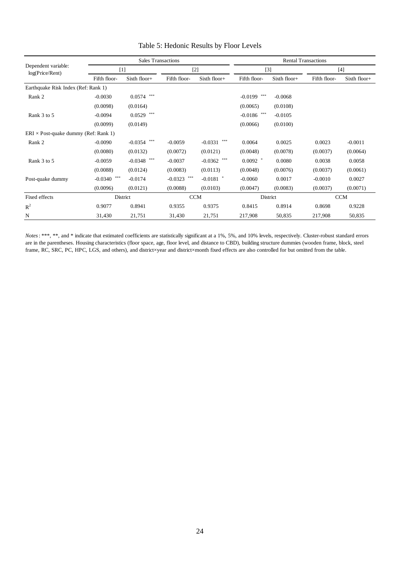|                                             |                  | <b>Sales Transactions</b> |                  |                  | <b>Rental Transactions</b> |              |              |              |  |
|---------------------------------------------|------------------|---------------------------|------------------|------------------|----------------------------|--------------|--------------|--------------|--|
| Dependent variable:<br>log(Price/Rent)      | $[1]$            |                           | $[2]$            |                  |                            | $[3]$        |              | $[4]$        |  |
|                                             | Fifth floor-     | Sixth floor+              | Fifth floor-     | Sixth floor+     | Fifth floor-               | Sixth floor+ | Fifth floor- | Sixth floor+ |  |
| Earthquake Risk Index (Ref: Rank 1)         |                  |                           |                  |                  |                            |              |              |              |  |
| Rank 2                                      | $-0.0030$        | ***<br>0.0574             |                  |                  | ***<br>$-0.0199$           | $-0.0068$    |              |              |  |
|                                             | (0.0098)         | (0.0164)                  |                  |                  | (0.0065)                   | (0.0108)     |              |              |  |
| Rank 3 to 5                                 | $-0.0094$        | ***<br>0.0529             |                  |                  | ***<br>$-0.0186$           | $-0.0105$    |              |              |  |
|                                             | (0.0099)         | (0.0149)                  |                  |                  | (0.0066)                   | (0.0100)     |              |              |  |
| $ERI \times Post-quake dummy (Ref: Rank 1)$ |                  |                           |                  |                  |                            |              |              |              |  |
| Rank 2                                      | $-0.0090$        | ***<br>$-0.0354$          | $-0.0059$        | ***<br>$-0.0331$ | 0.0064                     | 0.0025       | 0.0023       | $-0.0011$    |  |
|                                             | (0.0080)         | (0.0132)                  | (0.0072)         | (0.0121)         | (0.0048)                   | (0.0078)     | (0.0037)     | (0.0064)     |  |
| Rank 3 to 5                                 | $-0.0059$        | ***<br>$-0.0348$          | $-0.0037$        | $-0.0362$ ***    | $0.0092$ *                 | 0.0080       | 0.0038       | 0.0058       |  |
|                                             | (0.0088)         | (0.0124)                  | (0.0083)         | (0.0113)         | (0.0048)                   | (0.0076)     | (0.0037)     | (0.0061)     |  |
| Post-quake dummy                            | ***<br>$-0.0340$ | $-0.0174$                 | ***<br>$-0.0323$ | $-0.0181$ *      | $-0.0060$                  | 0.0017       | $-0.0010$    | 0.0027       |  |
|                                             | (0.0096)         | (0.0121)                  | (0.0088)         | (0.0103)         | (0.0047)                   | (0.0083)     | (0.0037)     | (0.0071)     |  |
| Fixed effects                               |                  | District                  | <b>CCM</b>       |                  | District                   |              | <b>CCM</b>   |              |  |
| $R^2$                                       | 0.9077           | 0.8941                    | 0.9355           | 0.9375           | 0.8415                     | 0.8914       | 0.8698       | 0.9228       |  |
| N                                           | 31,430           | 21,751                    | 31,430           | 21,751           | 217,908                    | 50,835       | 217,908      | 50,835       |  |

# Table 5: Hedonic Results by Floor Levels

*Notes*: \*\*\*, \*\*, and \* indicate that estimated coefficients are statistically significant at a 1%, 5%, and 10% levels, respectively. Cluster-robust standard errors are in the parentheses. Housing characteristics (floor space, age, floor level, and distance to CBD), building structure dummies (wooden frame, block, steel frame, RC, SRC, PC, HPC, LGS, and others), and district×year and district×month fixed effects are also controlled for but omitted from the table.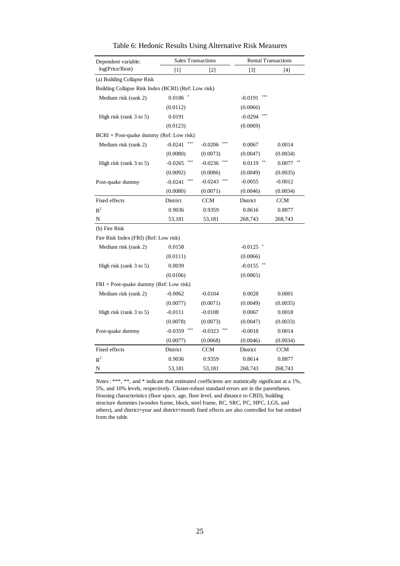| Dependent variable:                                 | <b>Sales Transactions</b> |                  | <b>Rental Transactions</b> |            |  |  |  |
|-----------------------------------------------------|---------------------------|------------------|----------------------------|------------|--|--|--|
| log(Price/Rent)                                     | $[1]$                     | $[2]$            | $[3]$                      | $[4]$      |  |  |  |
| (a) Building Collapse Risk                          |                           |                  |                            |            |  |  |  |
| Building Collapse Risk Index (BCRI) (Ref: Low risk) |                           |                  |                            |            |  |  |  |
| Medium risk (rank 2)                                | 0.0186                    |                  | $-0.0191$                  |            |  |  |  |
|                                                     | (0.0112)                  |                  | (0.0066)                   |            |  |  |  |
| High risk (rank 3 to 5)                             | 0.0191                    |                  | $-0.0294$                  |            |  |  |  |
|                                                     | (0.0123)                  |                  | (0.0069)                   |            |  |  |  |
| $BCRI \times Post-quake dummy (Ref: Low risk)$      |                           |                  |                            |            |  |  |  |
| Medium risk (rank 2)                                | ***<br>$-0.0241$          | $-0.0206$        | 0.0067                     | 0.0014     |  |  |  |
|                                                     | (0.0080)                  | (0.0073)         | (0.0047)                   | (0.0034)   |  |  |  |
| High risk (rank 3 to 5)                             | $-0.0265$                 | $-0.0236$        | 0.0119                     | 0.0077     |  |  |  |
|                                                     | (0.0092)                  | (0.0086)         | (0.0049)                   | (0.0035)   |  |  |  |
| Post-quake dummy                                    | ***<br>$-0.0241$          | $-0.0243$<br>*** | $-0.0055$                  | $-0.0012$  |  |  |  |
|                                                     | (0.0080)                  | (0.0071)         | (0.0046)                   | (0.0034)   |  |  |  |
| Fixed effects                                       | District                  | <b>CCM</b>       | District                   | <b>CCM</b> |  |  |  |
| $R^2$                                               | 0.9036                    | 0.9359           | 0.8616                     | 0.8877     |  |  |  |
| N                                                   | 53,181                    | 53,181           | 268,743                    | 268,743    |  |  |  |
| (b) Fire Risk                                       |                           |                  |                            |            |  |  |  |
| Fire Risk Index (FRI) (Ref: Low risk)               |                           |                  |                            |            |  |  |  |
| Medium risk (rank 2)                                | 0.0158                    |                  | $-0.0125$                  |            |  |  |  |
|                                                     | (0.0111)                  |                  | (0.0066)                   |            |  |  |  |
| High risk (rank 3 to 5)                             | 0.0039                    |                  | $-0.0155$                  |            |  |  |  |
|                                                     | (0.0106)                  |                  | (0.0065)                   |            |  |  |  |
| $FRI \times Post$ -quake dummy (Ref: Low risk)      |                           |                  |                            |            |  |  |  |
| Medium risk (rank 2)                                | $-0.0062$                 | $-0.0104$        | 0.0028                     | 0.0001     |  |  |  |
|                                                     | (0.0077)                  | (0.0071)         | (0.0049)                   | (0.0035)   |  |  |  |
| High risk (rank 3 to 5)                             | $-0.0111$                 | $-0.0108$        | 0.0067                     | 0.0018     |  |  |  |
|                                                     | (0.0078)                  | (0.0073)         | (0.0047)                   | (0.0033)   |  |  |  |
| Post-quake dummy                                    | $-0.0359$                 | $-0.0323$        | $-0.0018$                  | 0.0014     |  |  |  |
|                                                     | (0.0077)                  | (0.0068)         | (0.0046)                   | (0.0034)   |  |  |  |
| Fixed effects                                       | District                  | <b>CCM</b>       | District                   | <b>CCM</b> |  |  |  |
| $R^2$                                               | 0.9036                    | 0.9359           | 0.8614                     | 0.8877     |  |  |  |
| N                                                   | 53,181                    | 53,181           | 268,743                    | 268,743    |  |  |  |

*Notes*: \*\*\*, \*\*, and \* indicate that estimated coefficients are statistically significant at a 1%, 5%, and 10% levels, respectively. Cluster-robust standard errors are in the parentheses. Housing characteristics (floor space, age, floor level, and distance to CBD), building structure dummies (wooden frame, block, steel frame, RC, SRC, PC, HPC, LGS, and others), and district×year and district×month fixed effects are also controlled for but omitted from the table.